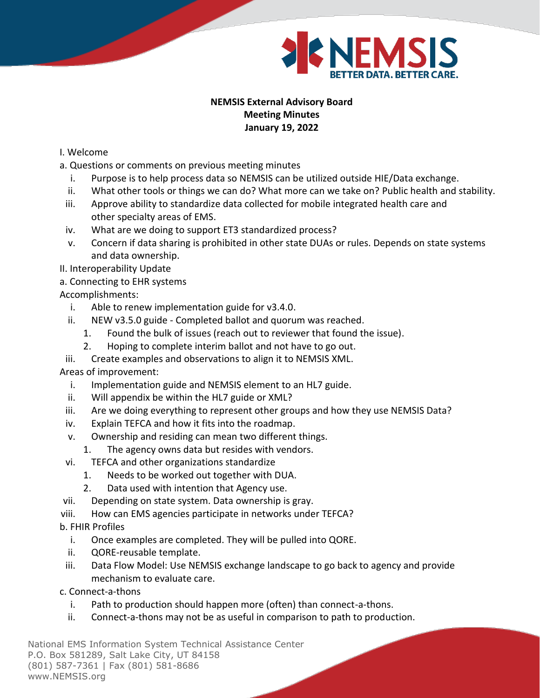

# **NEMSIS External Advisory Board Meeting Minutes January 19, 2022**

### I. Welcome

- a. Questions or comments on previous meeting minutes
	- i. Purpose is to help process data so NEMSIS can be utilized outside HIE/Data exchange.
	- ii. What other tools or things we can do? What more can we take on? Public health and stability.
- iii. Approve ability to standardize data collected for mobile integrated health care and other specialty areas of EMS.
- iv. What are we doing to support ET3 standardized process?
- v. Concern if data sharing is prohibited in other state DUAs or rules. Depends on state systems and data ownership.
- II. Interoperability Update
- a. Connecting to EHR systems

# Accomplishments:

- i. Able to renew implementation guide for v3.4.0.
- ii. NEW v3.5.0 guide Completed ballot and quorum was reached.
	- 1. Found the bulk of issues (reach out to reviewer that found the issue).
	- 2. Hoping to complete interim ballot and not have to go out.
- iii. Create examples and observations to align it to NEMSIS XML.

### Areas of improvement:

- i. Implementation guide and NEMSIS element to an HL7 guide.
- ii. Will appendix be within the HL7 guide or XML?
- iii. Are we doing everything to represent other groups and how they use NEMSIS Data?
- iv. Explain TEFCA and how it fits into the roadmap.
- v. Ownership and residing can mean two different things.
- 1. The agency owns data but resides with vendors.
- vi. TEFCA and other organizations standardize
	- 1. Needs to be worked out together with DUA.
	- 2. Data used with intention that Agency use.
- vii. Depending on state system. Data ownership is gray.
- viii. How can EMS agencies participate in networks under TEFCA?
- b. FHIR Profiles
	- i. Once examples are completed. They will be pulled into QORE.
	- ii. QORE-reusable template.
- iii. Data Flow Model: Use NEMSIS exchange landscape to go back to agency and provide mechanism to evaluate care.
- c. Connect-a-thons
	- i. Path to production should happen more (often) than connect-a-thons.
	- ii. Connect-a-thons may not be as useful in comparison to path to production.

National EMS Information System Technical Assistance Center P.O. Box 581289, Salt Lake City, UT 84158 (801) 587-7361 | Fax (801) 581-8686 www.NEMSIS.org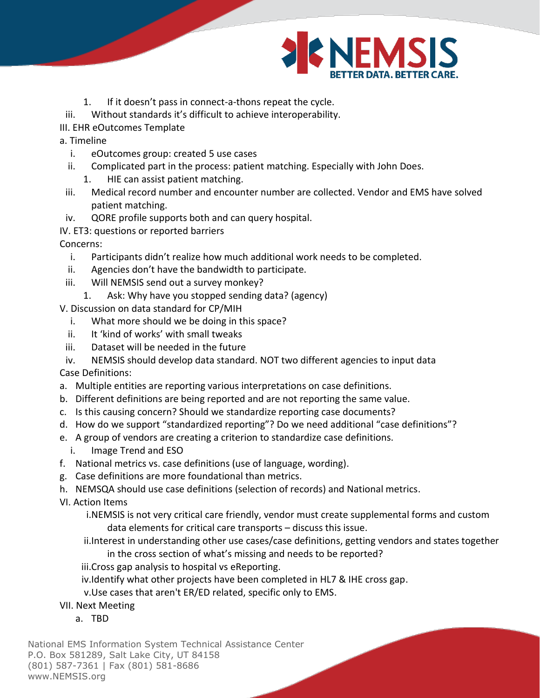

- 1. If it doesn't pass in connect-a-thons repeat the cycle.
- iii. Without standards it's difficult to achieve interoperability.
- III. EHR eOutcomes Template
- a. Timeline
	- i. eOutcomes group: created 5 use cases
	- ii. Complicated part in the process: patient matching. Especially with John Does.
		- 1. HIE can assist patient matching.
	- iii. Medical record number and encounter number are collected. Vendor and EMS have solved patient matching.
- iv. QORE profile supports both and can query hospital.
- IV. ET3: questions or reported barriers

## Concerns:

- i. Participants didn't realize how much additional work needs to be completed.
- ii. Agencies don't have the bandwidth to participate.
- iii. Will NEMSIS send out a survey monkey?
	- 1. Ask: Why have you stopped sending data? (agency)
- V. Discussion on data standard for CP/MIH
	- i. What more should we be doing in this space?
	- ii. It 'kind of works' with small tweaks
- iii. Dataset will be needed in the future
- iv. NEMSIS should develop data standard. NOT two different agencies to input data

Case Definitions:

- a. Multiple entities are reporting various interpretations on case definitions.
- b. Different definitions are being reported and are not reporting the same value.
- c. Is this causing concern? Should we standardize reporting case documents?
- d. How do we support "standardized reporting"? Do we need additional "case definitions"?
- e. A group of vendors are creating a criterion to standardize case definitions.
	- i. Image Trend and ESO
- f. National metrics vs. case definitions (use of language, wording).
- g. Case definitions are more foundational than metrics.
- h. NEMSQA should use case definitions (selection of records) and National metrics.

VI. Action Items

i.NEMSIS is not very critical care friendly, vendor must create supplemental forms and custom data elements for critical care transports – discuss this issue.

- ii.Interest in understanding other use cases/case definitions, getting vendors and states together in the cross section of what's missing and needs to be reported?
- iii.Cross gap analysis to hospital vs eReporting.
- iv.Identify what other projects have been completed in HL7 & IHE cross gap.

v.Use cases that aren't ER/ED related, specific only to EMS.

- VII. Next Meeting
	- a. TBD

National EMS Information System Technical Assistance Center P.O. Box 581289, Salt Lake City, UT 84158 (801) 587-7361 | Fax (801) 581-8686 www.NEMSIS.org